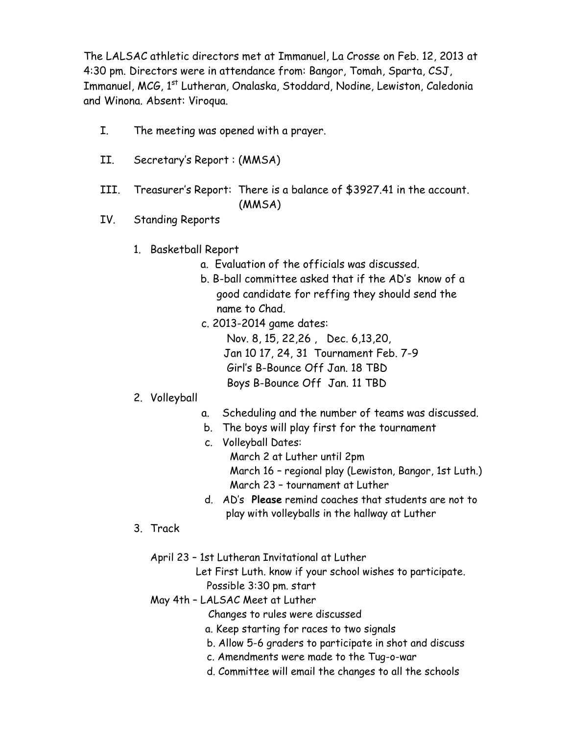The LALSAC athletic directors met at Immanuel, La Crosse on Feb. 12, 2013 at 4:30 pm. Directors were in attendance from: Bangor, Tomah, Sparta, CSJ, Immanuel, MCG, 1<sup>st</sup> Lutheran, Onalaska, Stoddard, Nodine, Lewiston, Caledonia and Winona. Absent: Viroqua.

- I. The meeting was opened with a prayer.
- II. Secretary's Report : (MMSA)
- III. Treasurer's Report: There is a balance of \$3927.41 in the account. (MMSA)
- IV. Standing Reports
	- 1. Basketball Report
		- a. Evaluation of the officials was discussed.
		- b. B-ball committee asked that if the AD's know of a good candidate for reffing they should send the name to Chad.
		- c. 2013-2014 game dates:
			- Nov. 8, 15, 22,26 , Dec. 6,13,20, Jan 10 17, 24, 31 Tournament Feb. 7-9 Girl's B-Bounce Off Jan. 18 TBD Boys B-Bounce Off Jan. 11 TBD
	- 2. Volleyball
- a. Scheduling and the number of teams was discussed.
- b. The boys will play first for the tournament
- c. Volleyball Dates: March 2 at Luther until 2pm March 16 – regional play (Lewiston, Bangor, 1st Luth.) March 23 – tournament at Luther
- d. AD's **Please** remind coaches that students are not to play with volleyballs in the hallway at Luther
- 3. Track
	- April 23 1st Lutheran Invitational at Luther
		- Let First Luth. know if your school wishes to participate. Possible 3:30 pm. start
	- May 4th LALSAC Meet at Luther
		- Changes to rules were discussed
		- a. Keep starting for races to two signals
		- b. Allow 5-6 graders to participate in shot and discuss
		- c. Amendments were made to the Tug-o-war
		- d. Committee will email the changes to all the schools